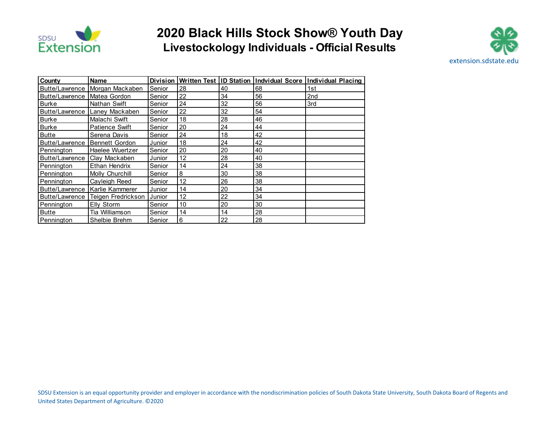

## **2020 Black Hills Stock Show® Youth Day Livestockology Individuals - Official Results**



| County                        | <b>Name</b>                         |        |    |    |    | Division Written Test ID Station Indvidual Score Individual Placing |
|-------------------------------|-------------------------------------|--------|----|----|----|---------------------------------------------------------------------|
|                               | Butte/Lawrence   Morgan Mackaben    | Senior | 28 | 40 | 68 | 1st                                                                 |
| Butte/Lawrence   Matea Gordon |                                     | Senior | 22 | 34 | 56 | 2 <sub>nd</sub>                                                     |
| <b>Burke</b>                  | Nathan Swift                        | Senior | 24 | 32 | 56 | 3rd                                                                 |
| Butte/Lawrence                | Lanev Mackaben                      | Senior | 22 | 32 | 54 |                                                                     |
| Burke                         | Malachi Swift                       | Senior | 18 | 28 | 46 |                                                                     |
| <b>Burke</b>                  | <b>Patience Swift</b>               | Senior | 20 | 24 | 44 |                                                                     |
| <b>Butte</b>                  | Serena Davis                        | Senior | 24 | 18 | 42 |                                                                     |
| Butte/Lawrence                | <b>Bennett Gordon</b>               | Junior | 18 | 24 | 42 |                                                                     |
| Pennington                    | Haelee Wuertzer                     | Senior | 20 | 20 | 40 |                                                                     |
| Butte/Lawrence                | Clay Mackaben                       | Junior | 12 | 28 | 40 |                                                                     |
| Pennington                    | Ethan Hendrix                       | Senior | 14 | 24 | 38 |                                                                     |
| Pennington                    | Molly Churchill                     | Senior | 8  | 30 | 38 |                                                                     |
| Pennington                    | Cayleigh Reed                       | Senior | 12 | 26 | 38 |                                                                     |
|                               | Butte/Lawrence   Karlie Kammerer    | Junior | 14 | 20 | 34 |                                                                     |
|                               | Butte/Lawrence   Teigen Fredrickson | Junior | 12 | 22 | 34 |                                                                     |
| Pennington                    | Elly Storm                          | Senior | 10 | 20 | 30 |                                                                     |
| <b>Butte</b>                  | Tia Williamson                      | Senior | 14 | 14 | 28 |                                                                     |
| Pennington                    | Shelbie Brehm                       | Senior | 6  | 22 | 28 |                                                                     |